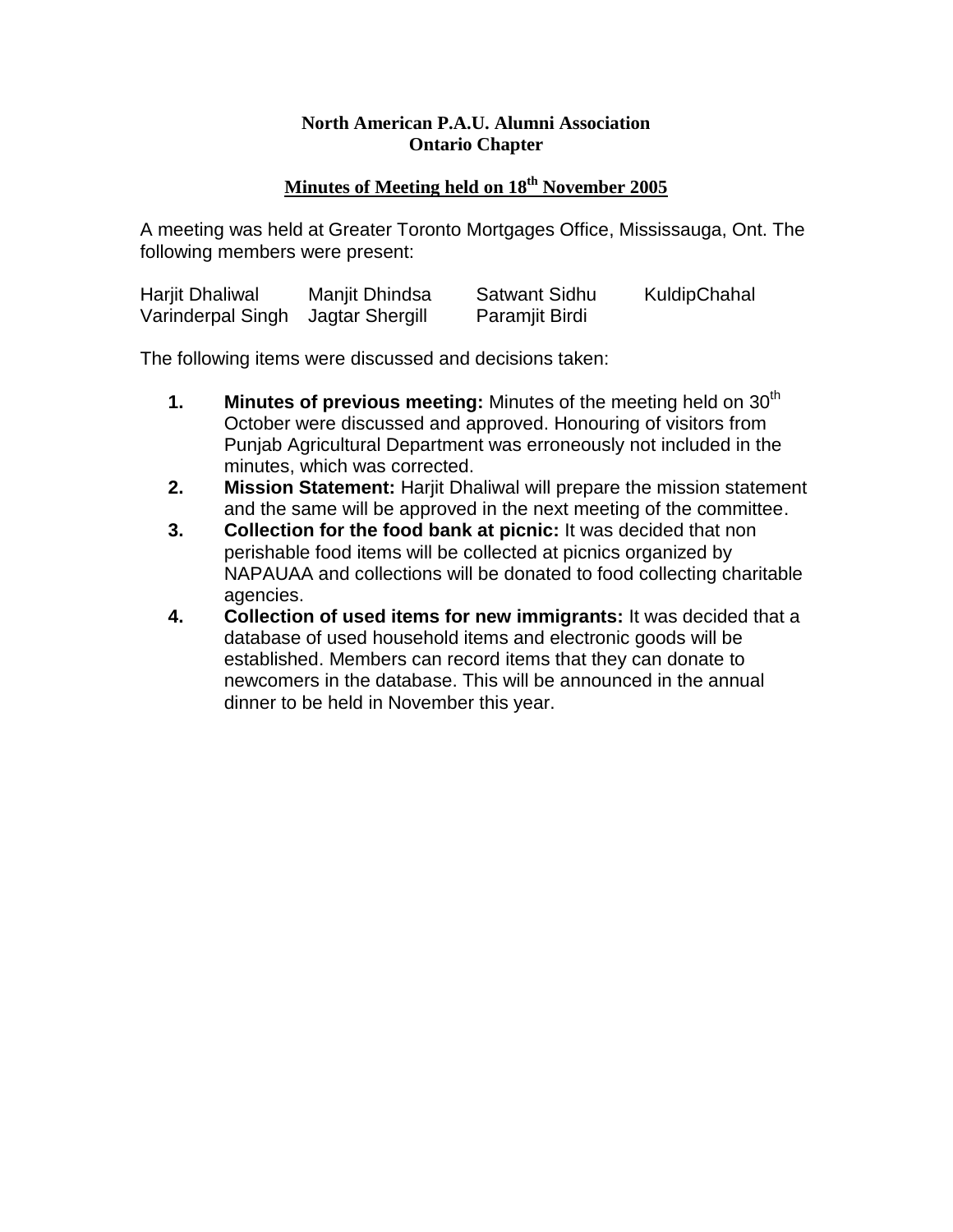## **North American P.A.U. Alumni Association Ontario Chapter**

## **Minutes of Meeting held on 18 th November 2005**

A meeting was held at Greater Toronto Mortgages Office, Mississauga, Ont. The following members were present:

| Harjit Dhaliwal                   | Manjit Dhindsa | <b>Satwant Sidhu</b> | KuldipChahal |
|-----------------------------------|----------------|----------------------|--------------|
| Varinderpal Singh Jagtar Shergill |                | Paramjit Birdi       |              |

The following items were discussed and decisions taken:

- **1. Minutes of previous meeting:** Minutes of the meeting held on 30<sup>th</sup> October were discussed and approved. Honouring of visitors from Punjab Agricultural Department was erroneously not included in the minutes, which was corrected.
- **2. Mission Statement:** Harjit Dhaliwal will prepare the mission statement and the same will be approved in the next meeting of the committee.
- **3. Collection for the food bank at picnic:** It was decided that non perishable food items will be collected at picnics organized by NAPAUAA and collections will be donated to food collecting charitable agencies.
- **4. Collection of used items for new immigrants:** It was decided that a database of used household items and electronic goods will be established. Members can record items that they can donate to newcomers in the database. This will be announced in the annual dinner to be held in November this year.